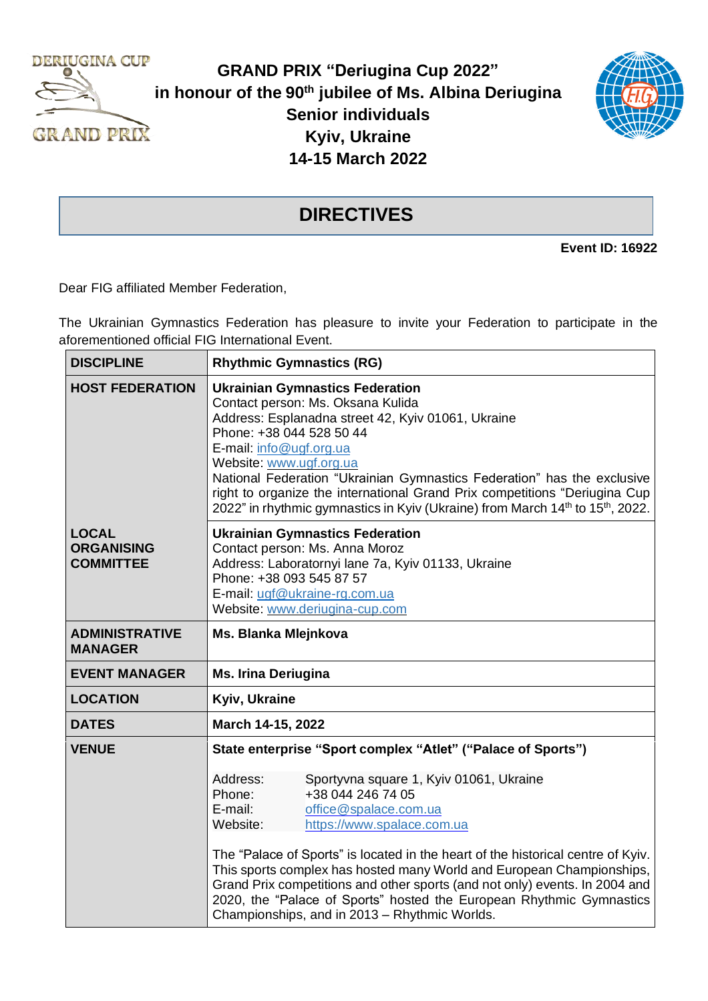

**GRAND PRIX "Deriugina Cup 2022" in honour of the 90th jubilee of Ms. Albina Deriugina Senior individuals Kyiv, Ukraine 14-15 March 2022**



## **DIRECTIVES**

**Event ID: 16922**

Dear FIG affiliated Member Federation,

The Ukrainian Gymnastics Federation has pleasure to invite your Federation to participate in the aforementioned official FIG International Event.

| <b>DISCIPLINE</b>                                     | <b>Rhythmic Gymnastics (RG)</b>                                                                                                                                                                                                                                                                                                                                                                                                                                                                                                                                                                       |  |  |  |  |
|-------------------------------------------------------|-------------------------------------------------------------------------------------------------------------------------------------------------------------------------------------------------------------------------------------------------------------------------------------------------------------------------------------------------------------------------------------------------------------------------------------------------------------------------------------------------------------------------------------------------------------------------------------------------------|--|--|--|--|
| <b>HOST FEDERATION</b>                                | <b>Ukrainian Gymnastics Federation</b><br>Contact person: Ms. Oksana Kulida<br>Address: Esplanadna street 42, Kyiv 01061, Ukraine<br>Phone: +38 044 528 50 44<br>E-mail: info@ugf.org.ua<br>Website: www.ugf.org.ua<br>National Federation "Ukrainian Gymnastics Federation" has the exclusive<br>right to organize the international Grand Prix competitions "Deriugina Cup<br>2022" in rhythmic gymnastics in Kyiv (Ukraine) from March 14 <sup>th</sup> to 15 <sup>th</sup> , 2022.                                                                                                                |  |  |  |  |
| <b>LOCAL</b><br><b>ORGANISING</b><br><b>COMMITTEE</b> | <b>Ukrainian Gymnastics Federation</b><br>Contact person: Ms. Anna Moroz<br>Address: Laboratornyi lane 7a, Kyiv 01133, Ukraine<br>Phone: +38 093 545 87 57<br>E-mail: ugf@ukraine-rg.com.ua<br>Website: www.deriugina-cup.com                                                                                                                                                                                                                                                                                                                                                                         |  |  |  |  |
| <b>ADMINISTRATIVE</b><br><b>MANAGER</b>               | Ms. Blanka Mlejnkova                                                                                                                                                                                                                                                                                                                                                                                                                                                                                                                                                                                  |  |  |  |  |
| <b>EVENT MANAGER</b>                                  | <b>Ms. Irina Deriugina</b>                                                                                                                                                                                                                                                                                                                                                                                                                                                                                                                                                                            |  |  |  |  |
| <b>LOCATION</b>                                       | Kyiv, Ukraine                                                                                                                                                                                                                                                                                                                                                                                                                                                                                                                                                                                         |  |  |  |  |
| <b>DATES</b>                                          | March 14-15, 2022                                                                                                                                                                                                                                                                                                                                                                                                                                                                                                                                                                                     |  |  |  |  |
| <b>VENUE</b>                                          | State enterprise "Sport complex "Atlet" ("Palace of Sports")<br>Address:<br>Sportyvna square 1, Kyiv 01061, Ukraine<br>+38 044 246 74 05<br>Phone:<br>E-mail:<br>office@spalace.com.ua<br>Website:<br>https://www.spalace.com.ua<br>The "Palace of Sports" is located in the heart of the historical centre of Kyiv.<br>This sports complex has hosted many World and European Championships,<br>Grand Prix competitions and other sports (and not only) events. In 2004 and<br>2020, the "Palace of Sports" hosted the European Rhythmic Gymnastics<br>Championships, and in 2013 - Rhythmic Worlds. |  |  |  |  |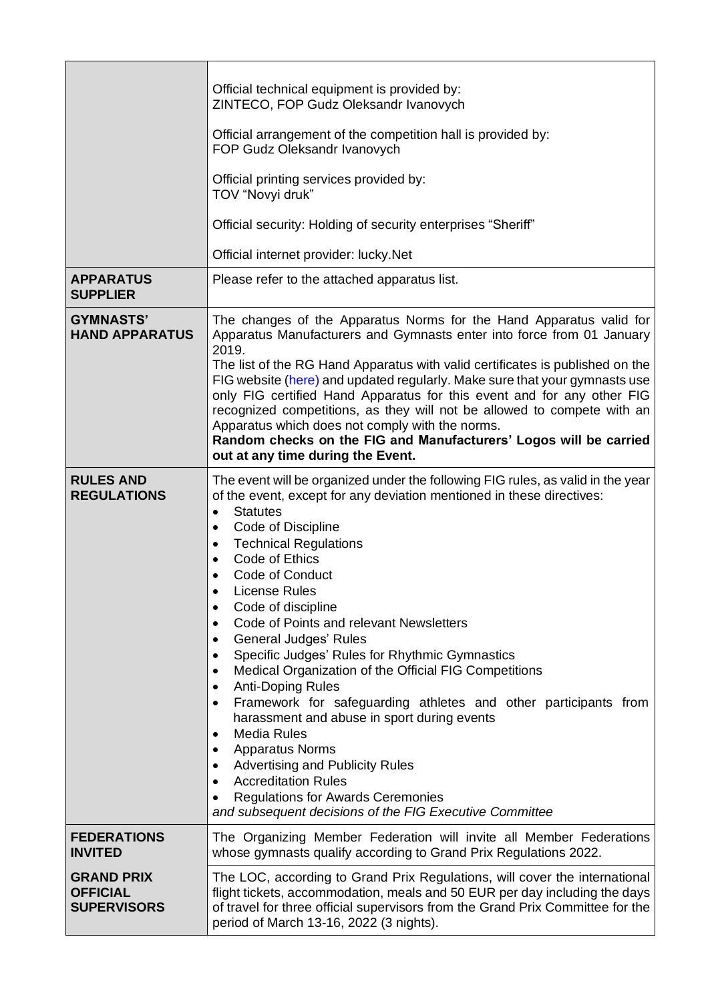|                                                            | Official technical equipment is provided by:<br>ZINTECO, FOP Gudz Oleksandr Ivanovych<br>Official arrangement of the competition hall is provided by:<br>FOP Gudz Oleksandr Ivanovych<br>Official printing services provided by:<br>TOV "Novyi druk"<br>Official security: Holding of security enterprises "Sheriff"<br>Official internet provider: lucky.Net                                                                                                                                                                                                                                                                                                                                                                                                                                                                                                                                                                                  |
|------------------------------------------------------------|------------------------------------------------------------------------------------------------------------------------------------------------------------------------------------------------------------------------------------------------------------------------------------------------------------------------------------------------------------------------------------------------------------------------------------------------------------------------------------------------------------------------------------------------------------------------------------------------------------------------------------------------------------------------------------------------------------------------------------------------------------------------------------------------------------------------------------------------------------------------------------------------------------------------------------------------|
| <b>APPARATUS</b><br><b>SUPPLIER</b>                        | Please refer to the attached apparatus list.                                                                                                                                                                                                                                                                                                                                                                                                                                                                                                                                                                                                                                                                                                                                                                                                                                                                                                   |
| <b>GYMNASTS'</b><br><b>HAND APPARATUS</b>                  | The changes of the Apparatus Norms for the Hand Apparatus valid for<br>Apparatus Manufacturers and Gymnasts enter into force from 01 January<br>2019.<br>The list of the RG Hand Apparatus with valid certificates is published on the<br>FIG website (here) and updated regularly. Make sure that your gymnasts use<br>only FIG certified Hand Apparatus for this event and for any other FIG<br>recognized competitions, as they will not be allowed to compete with an<br>Apparatus which does not comply with the norms.<br>Random checks on the FIG and Manufacturers' Logos will be carried<br>out at any time during the Event.                                                                                                                                                                                                                                                                                                         |
| <b>RULES AND</b><br><b>REGULATIONS</b>                     | The event will be organized under the following FIG rules, as valid in the year<br>of the event, except for any deviation mentioned in these directives:<br><b>Statutes</b><br>Code of Discipline<br><b>Technical Regulations</b><br>$\bullet$<br>Code of Ethics<br>Code of Conduct<br><b>License Rules</b><br>Code of discipline<br>٠<br>Code of Points and relevant Newsletters<br>General Judges' Rules<br>٠<br>Specific Judges' Rules for Rhythmic Gymnastics<br>Medical Organization of the Official FIG Competitions<br>$\bullet$<br><b>Anti-Doping Rules</b><br>$\bullet$<br>Framework for safeguarding athletes and other participants from<br>harassment and abuse in sport during events<br><b>Media Rules</b><br><b>Apparatus Norms</b><br>$\bullet$<br><b>Advertising and Publicity Rules</b><br><b>Accreditation Rules</b><br><b>Regulations for Awards Ceremonies</b><br>and subsequent decisions of the FIG Executive Committee |
| <b>FEDERATIONS</b><br><b>INVITED</b>                       | The Organizing Member Federation will invite all Member Federations<br>whose gymnasts qualify according to Grand Prix Regulations 2022.                                                                                                                                                                                                                                                                                                                                                                                                                                                                                                                                                                                                                                                                                                                                                                                                        |
| <b>GRAND PRIX</b><br><b>OFFICIAL</b><br><b>SUPERVISORS</b> | The LOC, according to Grand Prix Regulations, will cover the international<br>flight tickets, accommodation, meals and 50 EUR per day including the days<br>of travel for three official supervisors from the Grand Prix Committee for the<br>period of March 13-16, 2022 (3 nights).                                                                                                                                                                                                                                                                                                                                                                                                                                                                                                                                                                                                                                                          |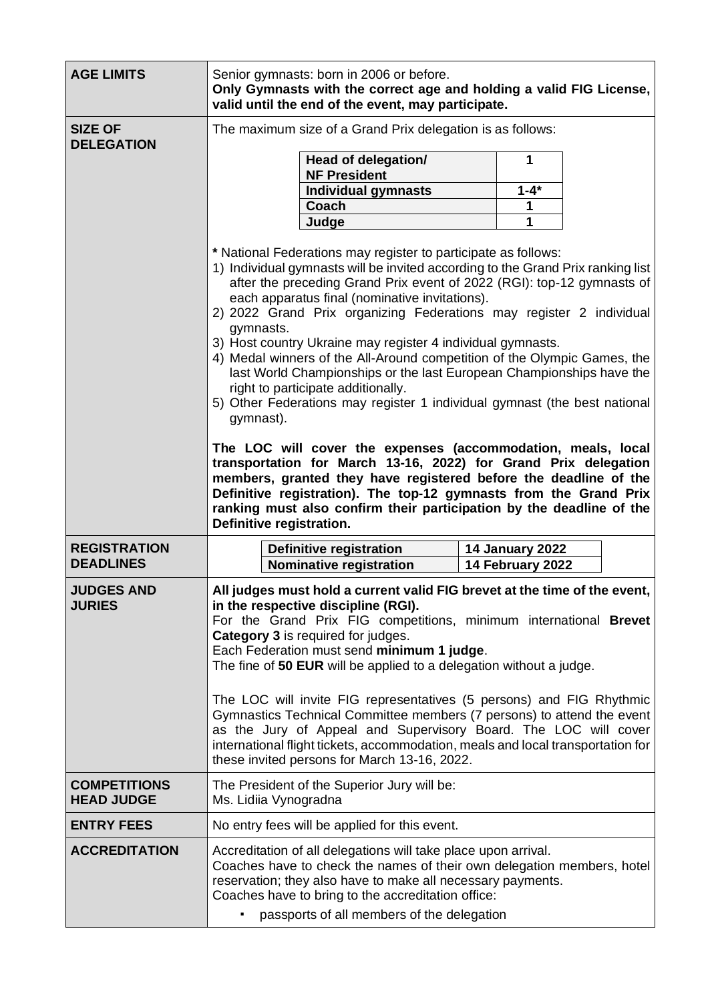| <b>AGE LIMITS</b>                       | Senior gymnasts: born in 2006 or before.<br>Only Gymnasts with the correct age and holding a valid FIG License,<br>valid until the end of the event, may participate.                                                                                                                                                                                                                                                                                                                                                                                                                                                                                                                                                                                                                                                                                                                                                                                                                                                                                                                                |                                                                                             |                                            |           |  |  |  |
|-----------------------------------------|------------------------------------------------------------------------------------------------------------------------------------------------------------------------------------------------------------------------------------------------------------------------------------------------------------------------------------------------------------------------------------------------------------------------------------------------------------------------------------------------------------------------------------------------------------------------------------------------------------------------------------------------------------------------------------------------------------------------------------------------------------------------------------------------------------------------------------------------------------------------------------------------------------------------------------------------------------------------------------------------------------------------------------------------------------------------------------------------------|---------------------------------------------------------------------------------------------|--------------------------------------------|-----------|--|--|--|
| <b>SIZE OF</b><br><b>DELEGATION</b>     | The maximum size of a Grand Prix delegation is as follows:                                                                                                                                                                                                                                                                                                                                                                                                                                                                                                                                                                                                                                                                                                                                                                                                                                                                                                                                                                                                                                           |                                                                                             |                                            |           |  |  |  |
|                                         |                                                                                                                                                                                                                                                                                                                                                                                                                                                                                                                                                                                                                                                                                                                                                                                                                                                                                                                                                                                                                                                                                                      | Head of delegation/<br><b>NF President</b>                                                  |                                            | 1         |  |  |  |
|                                         |                                                                                                                                                                                                                                                                                                                                                                                                                                                                                                                                                                                                                                                                                                                                                                                                                                                                                                                                                                                                                                                                                                      | <b>Individual gymnasts</b>                                                                  |                                            | $1 - 4^*$ |  |  |  |
|                                         |                                                                                                                                                                                                                                                                                                                                                                                                                                                                                                                                                                                                                                                                                                                                                                                                                                                                                                                                                                                                                                                                                                      | Coach                                                                                       |                                            | 1         |  |  |  |
|                                         |                                                                                                                                                                                                                                                                                                                                                                                                                                                                                                                                                                                                                                                                                                                                                                                                                                                                                                                                                                                                                                                                                                      | Judge                                                                                       |                                            | 1         |  |  |  |
|                                         | * National Federations may register to participate as follows:<br>1) Individual gymnasts will be invited according to the Grand Prix ranking list<br>after the preceding Grand Prix event of 2022 (RGI): top-12 gymnasts of<br>each apparatus final (nominative invitations).<br>2) 2022 Grand Prix organizing Federations may register 2 individual<br>gymnasts.<br>3) Host country Ukraine may register 4 individual gymnasts.<br>4) Medal winners of the All-Around competition of the Olympic Games, the<br>last World Championships or the last European Championships have the<br>right to participate additionally.<br>5) Other Federations may register 1 individual gymnast (the best national<br>gymnast).<br>The LOC will cover the expenses (accommodation, meals, local<br>transportation for March 13-16, 2022) for Grand Prix delegation<br>members, granted they have registered before the deadline of the<br>Definitive registration). The top-12 gymnasts from the Grand Prix<br>ranking must also confirm their participation by the deadline of the<br>Definitive registration. |                                                                                             |                                            |           |  |  |  |
| <b>REGISTRATION</b><br><b>DEADLINES</b> |                                                                                                                                                                                                                                                                                                                                                                                                                                                                                                                                                                                                                                                                                                                                                                                                                                                                                                                                                                                                                                                                                                      | Definitive registration<br><b>Nominative registration</b>                                   | <b>14 January 2022</b><br>14 February 2022 |           |  |  |  |
| <b>JUDGES AND</b><br><b>JURIES</b>      | All judges must hold a current valid FIG brevet at the time of the event.<br>in the respective discipline (RGI).<br>For the Grand Prix FIG competitions, minimum international Brevet<br>Category 3 is required for judges.<br>Each Federation must send minimum 1 judge.<br>The fine of 50 EUR will be applied to a delegation without a judge.<br>The LOC will invite FIG representatives (5 persons) and FIG Rhythmic<br>Gymnastics Technical Committee members (7 persons) to attend the event<br>as the Jury of Appeal and Supervisory Board. The LOC will cover<br>international flight tickets, accommodation, meals and local transportation for                                                                                                                                                                                                                                                                                                                                                                                                                                             |                                                                                             |                                            |           |  |  |  |
| <b>COMPETITIONS</b>                     |                                                                                                                                                                                                                                                                                                                                                                                                                                                                                                                                                                                                                                                                                                                                                                                                                                                                                                                                                                                                                                                                                                      | these invited persons for March 13-16, 2022.<br>The President of the Superior Jury will be: |                                            |           |  |  |  |
| <b>HEAD JUDGE</b>                       | Ms. Lidiia Vynogradna                                                                                                                                                                                                                                                                                                                                                                                                                                                                                                                                                                                                                                                                                                                                                                                                                                                                                                                                                                                                                                                                                |                                                                                             |                                            |           |  |  |  |
| <b>ENTRY FEES</b>                       |                                                                                                                                                                                                                                                                                                                                                                                                                                                                                                                                                                                                                                                                                                                                                                                                                                                                                                                                                                                                                                                                                                      | No entry fees will be applied for this event.                                               |                                            |           |  |  |  |
| <b>ACCREDITATION</b>                    | Accreditation of all delegations will take place upon arrival.<br>Coaches have to check the names of their own delegation members, hotel<br>reservation; they also have to make all necessary payments.<br>Coaches have to bring to the accreditation office:<br>passports of all members of the delegation                                                                                                                                                                                                                                                                                                                                                                                                                                                                                                                                                                                                                                                                                                                                                                                          |                                                                                             |                                            |           |  |  |  |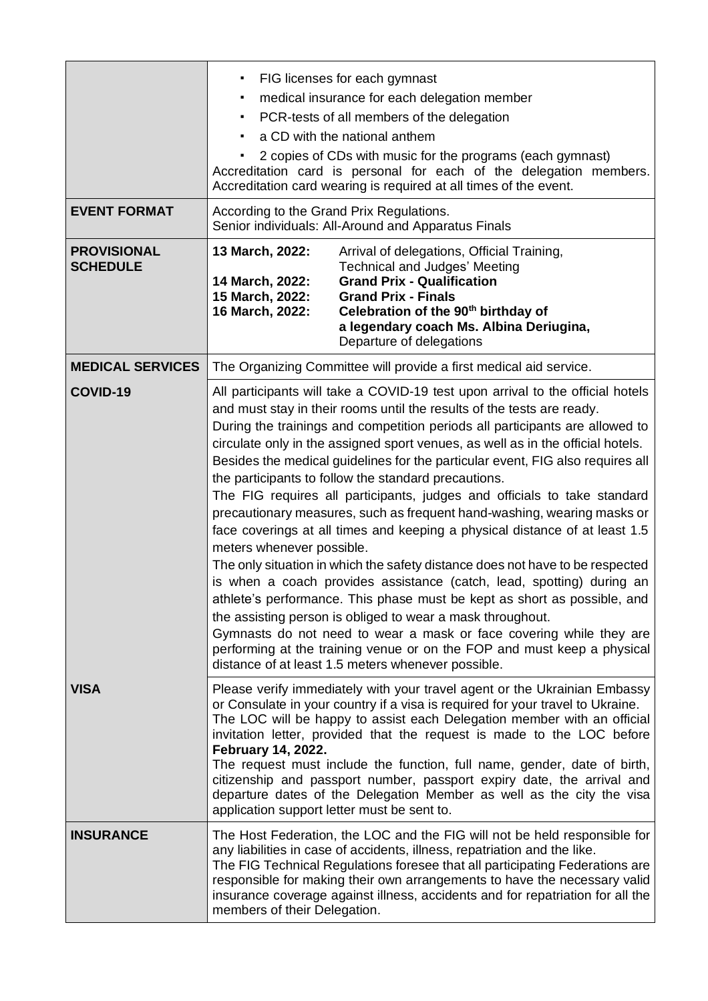| <b>EVENT FORMAT</b>                   | FIG licenses for each gymnast<br>$\blacksquare$<br>medical insurance for each delegation member<br>٠<br>PCR-tests of all members of the delegation<br>٠<br>a CD with the national anthem<br>٠<br>2 copies of CDs with music for the programs (each gymnast)<br>Accreditation card is personal for each of the delegation members.<br>Accreditation card wearing is required at all times of the event.<br>According to the Grand Prix Regulations.<br>Senior individuals: All-Around and Apparatus Finals                                                                                                                                                                                                                                                                                                                                                                                                                                                                                                                                                                                                                                                                                                                                            |                                                                                                                                                                                                                                                                                                                                                                                                       |  |  |  |
|---------------------------------------|------------------------------------------------------------------------------------------------------------------------------------------------------------------------------------------------------------------------------------------------------------------------------------------------------------------------------------------------------------------------------------------------------------------------------------------------------------------------------------------------------------------------------------------------------------------------------------------------------------------------------------------------------------------------------------------------------------------------------------------------------------------------------------------------------------------------------------------------------------------------------------------------------------------------------------------------------------------------------------------------------------------------------------------------------------------------------------------------------------------------------------------------------------------------------------------------------------------------------------------------------|-------------------------------------------------------------------------------------------------------------------------------------------------------------------------------------------------------------------------------------------------------------------------------------------------------------------------------------------------------------------------------------------------------|--|--|--|
| <b>PROVISIONAL</b><br><b>SCHEDULE</b> | 13 March, 2022:<br>14 March, 2022:<br>15 March, 2022:<br>16 March, 2022:                                                                                                                                                                                                                                                                                                                                                                                                                                                                                                                                                                                                                                                                                                                                                                                                                                                                                                                                                                                                                                                                                                                                                                             | Arrival of delegations, Official Training,<br><b>Technical and Judges' Meeting</b><br><b>Grand Prix - Qualification</b><br><b>Grand Prix - Finals</b><br>Celebration of the 90 <sup>th</sup> birthday of<br>a legendary coach Ms. Albina Deriugina,<br>Departure of delegations                                                                                                                       |  |  |  |
| <b>MEDICAL SERVICES</b>               |                                                                                                                                                                                                                                                                                                                                                                                                                                                                                                                                                                                                                                                                                                                                                                                                                                                                                                                                                                                                                                                                                                                                                                                                                                                      | The Organizing Committee will provide a first medical aid service.                                                                                                                                                                                                                                                                                                                                    |  |  |  |
| COVID-19                              | All participants will take a COVID-19 test upon arrival to the official hotels<br>and must stay in their rooms until the results of the tests are ready.<br>During the trainings and competition periods all participants are allowed to<br>circulate only in the assigned sport venues, as well as in the official hotels.<br>Besides the medical guidelines for the particular event, FIG also requires all<br>the participants to follow the standard precautions.<br>The FIG requires all participants, judges and officials to take standard<br>precautionary measures, such as frequent hand-washing, wearing masks or<br>face coverings at all times and keeping a physical distance of at least 1.5<br>meters whenever possible.<br>The only situation in which the safety distance does not have to be respected<br>is when a coach provides assistance (catch, lead, spotting) during an<br>athlete's performance. This phase must be kept as short as possible, and<br>the assisting person is obliged to wear a mask throughout.<br>Gymnasts do not need to wear a mask or face covering while they are<br>performing at the training venue or on the FOP and must keep a physical<br>distance of at least 1.5 meters whenever possible. |                                                                                                                                                                                                                                                                                                                                                                                                       |  |  |  |
| <b>VISA</b>                           | Please verify immediately with your travel agent or the Ukrainian Embassy<br>or Consulate in your country if a visa is required for your travel to Ukraine.<br>The LOC will be happy to assist each Delegation member with an official<br>invitation letter, provided that the request is made to the LOC before<br>February 14, 2022.<br>The request must include the function, full name, gender, date of birth,<br>citizenship and passport number, passport expiry date, the arrival and<br>departure dates of the Delegation Member as well as the city the visa<br>application support letter must be sent to.                                                                                                                                                                                                                                                                                                                                                                                                                                                                                                                                                                                                                                 |                                                                                                                                                                                                                                                                                                                                                                                                       |  |  |  |
| <b>INSURANCE</b>                      | members of their Delegation.                                                                                                                                                                                                                                                                                                                                                                                                                                                                                                                                                                                                                                                                                                                                                                                                                                                                                                                                                                                                                                                                                                                                                                                                                         | The Host Federation, the LOC and the FIG will not be held responsible for<br>any liabilities in case of accidents, illness, repatriation and the like.<br>The FIG Technical Regulations foresee that all participating Federations are<br>responsible for making their own arrangements to have the necessary valid<br>insurance coverage against illness, accidents and for repatriation for all the |  |  |  |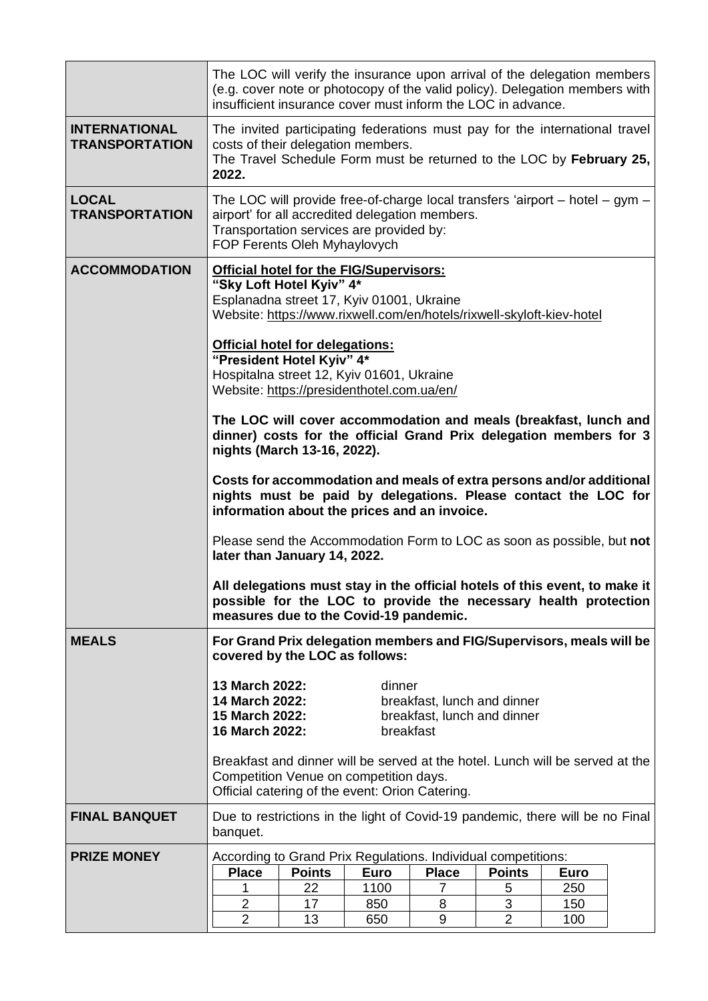|                                               | The LOC will verify the insurance upon arrival of the delegation members<br>(e.g. cover note or photocopy of the valid policy). Delegation members with<br>insufficient insurance cover must inform the LOC in advance.                                                                                              |               |             |                                                                               |                |             |  |  |
|-----------------------------------------------|----------------------------------------------------------------------------------------------------------------------------------------------------------------------------------------------------------------------------------------------------------------------------------------------------------------------|---------------|-------------|-------------------------------------------------------------------------------|----------------|-------------|--|--|
| <b>INTERNATIONAL</b><br><b>TRANSPORTATION</b> | The invited participating federations must pay for the international travel<br>costs of their delegation members.<br>The Travel Schedule Form must be returned to the LOC by February 25,<br>2022.                                                                                                                   |               |             |                                                                               |                |             |  |  |
| <b>LOCAL</b><br><b>TRANSPORTATION</b>         | The LOC will provide free-of-charge local transfers 'airport $-$ hotel $-$ gym $-$<br>airport' for all accredited delegation members.<br>Transportation services are provided by:<br>FOP Ferents Oleh Myhaylovych                                                                                                    |               |             |                                                                               |                |             |  |  |
| <b>ACCOMMODATION</b>                          | <b>Official hotel for the FIG/Supervisors:</b><br>"Sky Loft Hotel Kyiv" 4*<br>Esplanadna street 17, Kyiv 01001, Ukraine<br>Website: https://www.rixwell.com/en/hotels/rixwell-skyloft-kiev-hotel<br><b>Official hotel for delegations:</b><br>"President Hotel Kyiv" 4*<br>Hospitalna street 12, Kyiv 01601, Ukraine |               |             |                                                                               |                |             |  |  |
|                                               | Website: https://presidenthotel.com.ua/en/<br>The LOC will cover accommodation and meals (breakfast, lunch and<br>dinner) costs for the official Grand Prix delegation members for 3<br>nights (March 13-16, 2022).                                                                                                  |               |             |                                                                               |                |             |  |  |
|                                               | Costs for accommodation and meals of extra persons and/or additional<br>nights must be paid by delegations. Please contact the LOC for<br>information about the prices and an invoice.                                                                                                                               |               |             |                                                                               |                |             |  |  |
|                                               | Please send the Accommodation Form to LOC as soon as possible, but not<br>later than January 14, 2022.                                                                                                                                                                                                               |               |             |                                                                               |                |             |  |  |
|                                               | All delegations must stay in the official hotels of this event, to make it<br>possible for the LOC to provide the necessary health protection<br>measures due to the Covid-19 pandemic.                                                                                                                              |               |             |                                                                               |                |             |  |  |
| <b>MEALS</b>                                  | For Grand Prix delegation members and FIG/Supervisors, meals will be<br>covered by the LOC as follows:                                                                                                                                                                                                               |               |             |                                                                               |                |             |  |  |
|                                               | 13 March 2022:<br>dinner<br>14 March 2022:<br>breakfast, lunch and dinner<br>15 March 2022:<br>breakfast, lunch and dinner<br>16 March 2022:<br>breakfast                                                                                                                                                            |               |             |                                                                               |                |             |  |  |
|                                               | Breakfast and dinner will be served at the hotel. Lunch will be served at the<br>Competition Venue on competition days.<br>Official catering of the event: Orion Catering.                                                                                                                                           |               |             |                                                                               |                |             |  |  |
| <b>FINAL BANQUET</b>                          | banquet.                                                                                                                                                                                                                                                                                                             |               |             | Due to restrictions in the light of Covid-19 pandemic, there will be no Final |                |             |  |  |
| <b>PRIZE MONEY</b>                            |                                                                                                                                                                                                                                                                                                                      |               |             | According to Grand Prix Regulations. Individual competitions:                 |                |             |  |  |
|                                               | <b>Place</b>                                                                                                                                                                                                                                                                                                         | <b>Points</b> | <b>Euro</b> | <b>Place</b>                                                                  | <b>Points</b>  | <b>Euro</b> |  |  |
|                                               |                                                                                                                                                                                                                                                                                                                      | 22            | 1100        | 7                                                                             |                | 250         |  |  |
|                                               |                                                                                                                                                                                                                                                                                                                      |               |             |                                                                               | 5              |             |  |  |
|                                               | $\overline{2}$                                                                                                                                                                                                                                                                                                       | 17            | 850         | 8                                                                             | 3              | 150         |  |  |
|                                               | $\overline{2}$                                                                                                                                                                                                                                                                                                       | 13            | 650         | 9                                                                             | $\overline{2}$ | 100         |  |  |